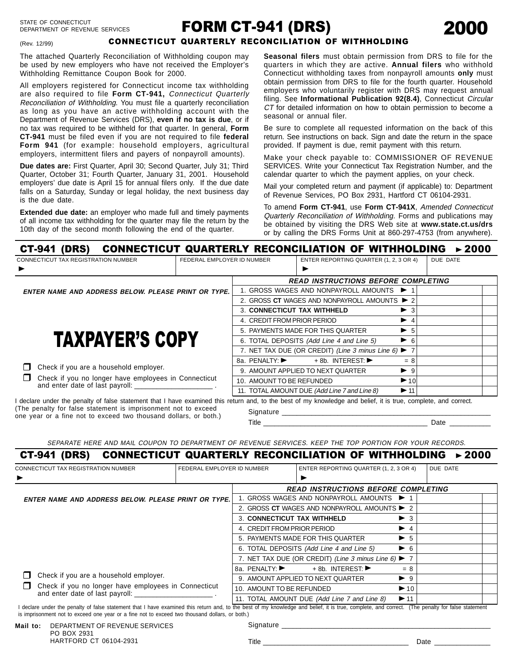# FORM CT-941 (DRS)



(Rev. 12/99)

### CONNECTICUT QUARTERLY RECONCILIATION OF WITHHOLDING

The attached Quarterly Reconciliation of Withholding coupon may be used by new employers who have not received the Employer's Withholding Remittance Coupon Book for 2000.

All employers registered for Connecticut income tax withholding are also required to file **Form CT-941,** Connecticut Quarterly Reconciliation of Withholding. You must file a quarterly reconciliation as long as you have an active withholding account with the Department of Revenue Services (DRS), **even if no tax is due**, or if no tax was required to be withheld for that quarter. In general, **Form CT-941** must be filed even if you are not required to file **federal Form 941** (for example: household employers, agricultural employers, intermittent filers and payers of nonpayroll amounts).

**Due dates are:** First Quarter, April 30; Second Quarter, July 31; Third Quarter, October 31; Fourth Quarter, January 31, 2001. Household employers' due date is April 15 for annual filers only. If the due date falls on a Saturday, Sunday or legal holiday, the next business day is the due date.

**Extended due date:** an employer who made full and timely payments of all income tax withholding for the quarter may file the return by the 10th day of the second month following the end of the quarter.

**Seasonal filers** must obtain permission from DRS to file for the quarters in which they are active. **Annual filers** who withhold Connecticut withholding taxes from nonpayroll amounts **only** must obtain permission from DRS to file for the fourth quarter. Household employers who voluntarily register with DRS may request annual filing. See **Informational Publication 92(8.4)**, Connecticut Circular CT for detailed information on how to obtain permission to become a seasonal or annual filer.

Be sure to complete all requested information on the back of this return. See instructions on back. Sign and date the return in the space provided. If payment is due, remit payment with this return.

Make your check payable to: COMMISSIONER OF REVENUE SERVICES. Write your Connecticut Tax Registration Number, and the calendar quarter to which the payment applies, on your check.

Mail your completed return and payment (if applicable) to: Department of Revenue Services, PO Box 2931, Hartford CT 06104-2931.

To amend **Form CT-941**, use **Form CT-941X**, Amended Connecticut Quarterly Reconciliation of Withholding. Forms and publications may be obtained by visiting the DRS Web site at **www.state.ct.us/drs** or by calling the DRS Forms Unit at 860-297-4753 (from anywhere).

| (DRS)<br><b>CT-941</b>                                                                                                                                                                                                            |                                            |                                           | <b>CONNECTICUT QUARTERLY RECONCILIATION OF WITHHOLDING</b>             |                          |          | > 2000 |  |  |
|-----------------------------------------------------------------------------------------------------------------------------------------------------------------------------------------------------------------------------------|--------------------------------------------|-------------------------------------------|------------------------------------------------------------------------|--------------------------|----------|--------|--|--|
| <b>CONNECTICUT TAX REGISTRATION NUMBER</b>                                                                                                                                                                                        | FEDERAL EMPLOYER ID NUMBER                 |                                           | ENTER REPORTING QUARTER (1, 2, 3 OR 4)                                 |                          | DUE DATE |        |  |  |
| ▶                                                                                                                                                                                                                                 |                                            |                                           |                                                                        |                          |          |        |  |  |
|                                                                                                                                                                                                                                   | <b>READ INSTRUCTIONS BEFORE COMPLETING</b> |                                           |                                                                        |                          |          |        |  |  |
| <b>ENTER NAME AND ADDRESS BELOW. PLEASE PRINT OR TYPE.</b>                                                                                                                                                                        |                                            | 1. GROSS WAGES AND NONPAYROLL AMOUNTS ▶ 1 |                                                                        |                          |          |        |  |  |
|                                                                                                                                                                                                                                   |                                            |                                           | 2. GROSS CT WAGES AND NONPAYROLL AMOUNTS $\triangleright$ 2            |                          |          |        |  |  |
|                                                                                                                                                                                                                                   |                                            | 3. CONNECTICUT TAX WITHHELD               |                                                                        | $\blacktriangleright$ 3  |          |        |  |  |
|                                                                                                                                                                                                                                   |                                            | 4. CREDIT FROM PRIOR PERIOD               |                                                                        | $\blacktriangleright$ 4  |          |        |  |  |
|                                                                                                                                                                                                                                   |                                            |                                           | 5. PAYMENTS MADE FOR THIS QUARTER                                      | $\blacktriangleright$ 5  |          |        |  |  |
| <b>TAXPAYER'S COPY</b>                                                                                                                                                                                                            |                                            |                                           | 6. TOTAL DEPOSITS (Add Line 4 and Line 5)                              | $\triangleright$ 6       |          |        |  |  |
|                                                                                                                                                                                                                                   |                                            |                                           | 7. NET TAX DUE (OR CREDIT) (Line 3 minus Line 6) $\blacktriangleright$ |                          |          |        |  |  |
|                                                                                                                                                                                                                                   |                                            | 8a. PENALTY: ▶                            | $+8b.$ INTEREST: $\blacktriangleright$                                 | $= 8$                    |          |        |  |  |
| Check if you are a household employer.                                                                                                                                                                                            |                                            |                                           | 9. AMOUNT APPLIED TO NEXT QUARTER                                      | $\blacktriangleright$ 9  |          |        |  |  |
| Check if you no longer have employees in Connecticut<br>and enter date of last payroll: _____                                                                                                                                     |                                            | 10. AMOUNT TO BE REFUNDED                 |                                                                        | $\blacktriangleright$ 10 |          |        |  |  |
|                                                                                                                                                                                                                                   |                                            |                                           | 11. TOTAL AMOUNT DUE (Add Line 7 and Line 8)                           | $\blacktriangleright$ 11 |          |        |  |  |
| I declare under the penalty of false statement that I have examined this return and, to the best of my knowledge and belief, it is true, complete, and correct.<br>(The penalty for false statement is imprisonment not to exceed |                                            | <b>Signaturo</b>                          |                                                                        |                          |          |        |  |  |

one year or a fine not to exceed two thousand dollars, or both.)

Signature \_\_\_\_\_\_\_\_\_\_\_\_\_\_\_\_\_\_\_\_\_\_\_\_\_\_\_\_\_\_\_\_\_\_\_\_\_\_\_\_\_\_\_\_\_\_\_\_\_\_\_\_\_\_\_\_

Title **Example 20** Date 20 All 20 All 20 All 20 All 20 All 20 All 20 All 20 All 20 All 20 All 20 All 20 All 20 All 20 All 20 All 20 All 20 All 20 All 20 All 20 All 20 All 20 All 20 All 20 All 20 All 20 All 20 All 20 All 20

SEPARATE HERE AND MAIL COUPON TO DEPARTMENT OF REVENUE SERVICES. KEEP THE TOP PORTION FOR YOUR RECORDS.

## CT-941 (DRS) CONNECTICUT QUARTERLY RECONCILIATION OF WITHHOLDING <<sup>2000</sup>

| CONNECTICUT TAX REGISTRATION NUMBER<br>▶                                                                                                                                                         | FEDERAL EMPLOYER ID NUMBER                 | ENTER REPORTING QUARTER (1, 2, 3 OR 4)                              |                                              |                          | DUE DATE |  |  |
|--------------------------------------------------------------------------------------------------------------------------------------------------------------------------------------------------|--------------------------------------------|---------------------------------------------------------------------|----------------------------------------------|--------------------------|----------|--|--|
|                                                                                                                                                                                                  | <b>READ INSTRUCTIONS BEFORE COMPLETING</b> |                                                                     |                                              |                          |          |  |  |
| <b>ENTER NAME AND ADDRESS BELOW. PLEASE PRINT OR TYPE.</b>                                                                                                                                       |                                            | 1. GROSS WAGES AND NONPAYROLL AMOUNTS ▶ 1                           |                                              |                          |          |  |  |
|                                                                                                                                                                                                  |                                            | 2. GROSS CT WAGES AND NONPAYROLL AMOUNTS $\triangleright$ 2         |                                              |                          |          |  |  |
|                                                                                                                                                                                                  |                                            | 3. CONNECTICUT TAX WITHHELD                                         |                                              | $\blacktriangleright$ 3  |          |  |  |
|                                                                                                                                                                                                  |                                            | 4. CREDIT FROM PRIOR PERIOD                                         |                                              | $\blacktriangleright$ 4  |          |  |  |
|                                                                                                                                                                                                  |                                            |                                                                     | 5. PAYMENTS MADE FOR THIS QUARTER            | $\blacktriangleright$ 5  |          |  |  |
|                                                                                                                                                                                                  |                                            | 6. TOTAL DEPOSITS (Add Line 4 and Line 5)                           | $\triangleright$ 6                           |                          |          |  |  |
|                                                                                                                                                                                                  |                                            | 7. NET TAX DUE (OR CREDIT) (Line 3 minus Line 6) $\triangleright$ 7 |                                              |                          |          |  |  |
|                                                                                                                                                                                                  |                                            | 8a. PENALTY: ▶                                                      | $+8b.$ INTEREST: $\blacktriangleright$       | $= 8$                    |          |  |  |
| Check if you are a household employer.                                                                                                                                                           |                                            |                                                                     | 9. AMOUNT APPLIED TO NEXT QUARTER            | $\blacktriangleright$ 9  |          |  |  |
| Check if you no longer have employees in Connecticut                                                                                                                                             |                                            | 10. AMOUNT TO BE REFUNDED                                           |                                              | $\blacktriangleright$ 10 |          |  |  |
| and enter date of last payroll: <b>with the same of the same of last payroll:</b>                                                                                                                |                                            |                                                                     | 11. TOTAL AMOUNT DUE (Add Line 7 and Line 8) | $\blacktriangleright$ 11 |          |  |  |
| I declare under the penalty of false statement that I have examined this return and, to the best of my knowledge and belief, it is true, complete, and correct. (The penalty for false statement |                                            |                                                                     |                                              |                          |          |  |  |

is imprisonment not to exceed one year or a fine not to exceed two thousand dollars, or both.)

Signature